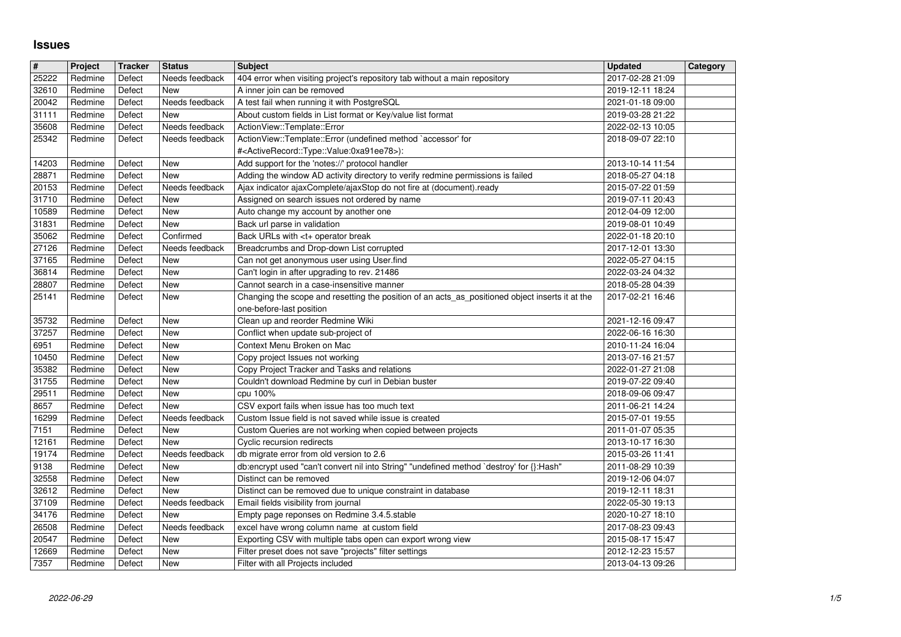## **Issues**

| $\overline{\boldsymbol{H}}$ | Project            | <b>Tracker</b>   | <b>Status</b>         | <b>Subject</b>                                                                                                                                                            | <b>Updated</b>                       | Category |
|-----------------------------|--------------------|------------------|-----------------------|---------------------------------------------------------------------------------------------------------------------------------------------------------------------------|--------------------------------------|----------|
| 25222                       | Redmine            | Defect           | Needs feedback        | 404 error when visiting project's repository tab without a main repository                                                                                                | 2017-02-28 21:09                     |          |
| 32610<br>20042              | Redmine<br>Redmine | Defect<br>Defect | New<br>Needs feedback | A inner join can be removed<br>A test fail when running it with PostgreSQL                                                                                                | 2019-12-11 18:24<br>2021-01-18 09:00 |          |
| 31111                       | Redmine            | Defect           | New                   | About custom fields in List format or Key/value list format                                                                                                               | 2019-03-28 21:22                     |          |
| 35608                       | Redmine            | Defect           | Needs feedback        | ActionView::Template::Error                                                                                                                                               | 2022-02-13 10:05                     |          |
| 25342                       | Redmine            | Defect           | Needs feedback        | ActionView::Template::Error (undefined method `accessor' for                                                                                                              | 2018-09-07 22:10                     |          |
| 14203                       | Redmine            | Defect           | New                   | # <activerecord::type::value:0xa91ee78>):<br/>Add support for the 'notes://' protocol handler</activerecord::type::value:0xa91ee78>                                       | 2013-10-14 11:54                     |          |
| 28871                       | Redmine            | Defect           | New                   | Adding the window AD activity directory to verify redmine permissions is failed                                                                                           | 2018-05-27 04:18                     |          |
| 20153                       | Redmine            | Defect           | Needs feedback        | Ajax indicator ajaxComplete/ajaxStop do not fire at (document).ready                                                                                                      | 2015-07-22 01:59                     |          |
| 31710                       | Redmine            | Defect           | New                   | Assigned on search issues not ordered by name                                                                                                                             | 2019-07-11 20:43                     |          |
| 10589                       | Redmine            | Defect           | New                   | Auto change my account by another one                                                                                                                                     | 2012-04-09 12:00                     |          |
| 31831<br>35062              | Redmine<br>Redmine | Defect<br>Defect | New<br>Confirmed      | Back url parse in validation<br>Back URLs with <t+ break<="" operator="" td=""><td>2019-08-01 10:49<br/>2022-01-18 20:10</td><td></td></t+>                               | 2019-08-01 10:49<br>2022-01-18 20:10 |          |
| 27126                       | Redmine            | Defect           | Needs feedback        | Breadcrumbs and Drop-down List corrupted                                                                                                                                  | 2017-12-01 13:30                     |          |
| 37165                       | Redmine            | Defect           | New                   | Can not get anonymous user using User.find                                                                                                                                | 2022-05-27 04:15                     |          |
| 36814                       | Redmine            | Defect           | New                   | Can't login in after upgrading to rev. 21486                                                                                                                              | 2022-03-24 04:32                     |          |
| 28807<br>25141              | Redmine<br>Redmine | Defect<br>Defect | New<br>New            | Cannot search in a case-insensitive manner<br>Changing the scope and resetting the position of an acts_as_positioned object inserts it at the<br>one-before-last position | 2018-05-28 04:39<br>2017-02-21 16:46 |          |
| 35732                       | Redmine            | Defect           | <b>New</b>            | Clean up and reorder Redmine Wiki                                                                                                                                         | 2021-12-16 09:47                     |          |
| 37257                       | Redmine            | Defect           | New                   | Conflict when update sub-project of                                                                                                                                       | 2022-06-16 16:30                     |          |
| 6951                        | Redmine            | Defect           | New                   | Context Menu Broken on Mac                                                                                                                                                | 2010-11-24 16:04                     |          |
| 10450<br>35382              | Redmine<br>Redmine | Defect<br>Defect | New<br>New            | Copy project Issues not working<br>Copy Project Tracker and Tasks and relations                                                                                           | 2013-07-16 21:57<br>2022-01-27 21:08 |          |
| 31755                       | Redmine            | Defect           | New                   | Couldn't download Redmine by curl in Debian buster                                                                                                                        | 2019-07-22 09:40                     |          |
| 29511                       | Redmine            | Defect           | New                   | cpu 100%                                                                                                                                                                  | 2018-09-06 09:47                     |          |
| 8657                        | Redmine            | Defect           | New                   | CSV export fails when issue has too much text                                                                                                                             | 2011-06-21 14:24                     |          |
| 16299<br>7151               | Redmine<br>Redmine | Defect<br>Defect | Needs feedback<br>New | Custom Issue field is not saved while issue is created<br>Custom Queries are not working when copied between projects                                                     | 2015-07-01 19:55<br>2011-01-07 05:35 |          |
| 12161                       | Redmine            | Defect           | New                   | Cyclic recursion redirects                                                                                                                                                | 2013-10-17 16:30                     |          |
| 19174                       | Redmine            | Defect           | Needs feedback        | db migrate error from old version to 2.6                                                                                                                                  | 2015-03-26 11:41                     |          |
| 9138                        | Redmine            | Defect           | New                   | db:encrypt used "can't convert nil into String" "undefined method `destroy' for {}:Hash"                                                                                  | 2011-08-29 10:39                     |          |
| 32558                       | Redmine            | Defect           | New                   | Distinct can be removed                                                                                                                                                   | 2019-12-06 04:07                     |          |
| 32612<br>37109              | Redmine<br>Redmine | Defect<br>Defect | New<br>Needs feedback | Distinct can be removed due to unique constraint in database<br>Email fields visibility from journal                                                                      | 2019-12-11 18:31<br>2022-05-30 19:13 |          |
| 34176                       | Redmine            | Defect           | New                   | Empty page reponses on Redmine 3.4.5.stable                                                                                                                               | 2020-10-27 18:10                     |          |
| 26508                       | Redmine            | Defect           | Needs feedback        | excel have wrong column name at custom field                                                                                                                              | 2017-08-23 09:43                     |          |
| 20547<br>12669              | Redmine<br>Redmine | Defect<br>Defect | New<br>New            | Exporting CSV with multiple tabs open can export wrong view<br>Filter preset does not save "projects" filter settings                                                     | 2015-08-17 15:47<br>2012-12-23 15:57 |          |
| 7357                        | Redmine            | Defect           | New                   | Filter with all Projects included                                                                                                                                         | 2013-04-13 09:26                     |          |
|                             |                    |                  |                       |                                                                                                                                                                           |                                      |          |
|                             |                    |                  |                       |                                                                                                                                                                           |                                      |          |
|                             |                    |                  |                       |                                                                                                                                                                           |                                      |          |
|                             |                    |                  |                       |                                                                                                                                                                           |                                      |          |
|                             |                    |                  |                       |                                                                                                                                                                           |                                      |          |
|                             |                    |                  |                       |                                                                                                                                                                           |                                      |          |
|                             |                    |                  |                       |                                                                                                                                                                           |                                      |          |
|                             |                    |                  |                       |                                                                                                                                                                           |                                      |          |
|                             |                    |                  |                       |                                                                                                                                                                           |                                      |          |
|                             |                    |                  |                       |                                                                                                                                                                           |                                      |          |
|                             |                    |                  |                       |                                                                                                                                                                           |                                      |          |
|                             |                    |                  |                       |                                                                                                                                                                           |                                      |          |
|                             |                    |                  |                       |                                                                                                                                                                           |                                      |          |
|                             |                    |                  |                       |                                                                                                                                                                           |                                      |          |
|                             |                    |                  |                       |                                                                                                                                                                           |                                      |          |
|                             |                    |                  |                       |                                                                                                                                                                           |                                      |          |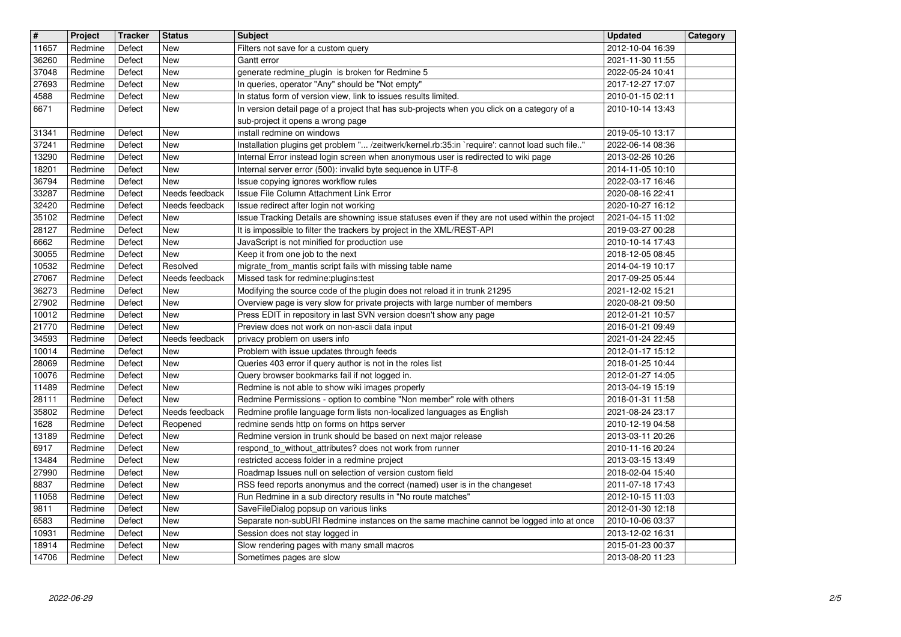| $\overline{\mathbf{H}}$ | Project            | <b>Tracker</b>   | <b>Status</b>                    | <b>Subject</b>                                                                                                                                     | <b>Updated</b>                       | Category |
|-------------------------|--------------------|------------------|----------------------------------|----------------------------------------------------------------------------------------------------------------------------------------------------|--------------------------------------|----------|
| 11657<br>36260          | Redmine<br>Redmine | Defect<br>Defect | New<br><b>New</b>                | Filters not save for a custom query<br>Gantt error                                                                                                 | 2012-10-04 16:39<br>2021-11-30 11:55 |          |
| 37048                   | Redmine<br>Redmine | Defect           | <b>New</b>                       | generate redmine_plugin is broken for Redmine 5                                                                                                    | 2022-05-24 10:41                     |          |
| 27693<br>4588           | Redmine            | Defect<br>Defect | <b>New</b><br><b>New</b>         | In queries, operator "Any" should be "Not empty"<br>In status form of version view, link to issues results limited.                                | 2017-12-27 17:07<br>2010-01-15 02:11 |          |
| 6671                    | Redmine            | Defect           | New                              | In version detail page of a project that has sub-projects when you click on a category of a                                                        | 2010-10-14 13:43                     |          |
| 31341                   | Redmine            | Defect           | New                              | sub-project it opens a wrong page<br>install redmine on windows                                                                                    | 2019-05-10 13:17                     |          |
| 37241                   | Redmine            | Defect           | <b>New</b>                       | Installation plugins get problem " /zeitwerk/kernel.rb:35:in `require': cannot load such file"                                                     | 2022-06-14 08:36                     |          |
| 13290<br>18201          | Redmine<br>Redmine | Defect<br>Defect | New<br>New                       | Internal Error instead login screen when anonymous user is redirected to wiki page<br>Internal server error (500): invalid byte sequence in UTF-8  | 2013-02-26 10:26<br>2014-11-05 10:10 |          |
| 36794                   | Redmine            | Defect           | New                              | Issue copying ignores workflow rules                                                                                                               | 2022-03-17 16:46                     |          |
| 33287<br>32420          | Redmine<br>Redmine | Defect<br>Defect | Needs feedback<br>Needs feedback | Issue File Column Attachment Link Error<br>Issue redirect after login not working                                                                  | 2020-08-16 22:41<br>2020-10-27 16:12 |          |
| 35102                   | Redmine            | Defect           | New                              | Issue Tracking Details are showning issue statuses even if they are not used within the project                                                    | 2021-04-15 11:02                     |          |
| 28127<br>6662           | Redmine<br>Redmine | Defect<br>Defect | New<br>New                       | It is impossible to filter the trackers by project in the XML/REST-API<br>JavaScript is not minified for production use                            | 2019-03-27 00:28<br>2010-10-14 17:43 |          |
| 30055                   | Redmine            | Defect           | New                              | Keep it from one job to the next                                                                                                                   | 2018-12-05 08:45                     |          |
| 10532<br>27067          | Redmine<br>Redmine | Defect<br>Defect | Resolved<br>Needs feedback       | migrate_from_mantis script fails with missing table name<br>Missed task for redmine: plugins: test                                                 | 2014-04-19 10:17<br>2017-09-25 05:44 |          |
| 36273                   | Redmine            | Defect           | New                              | Modifying the source code of the plugin does not reload it in trunk 21295                                                                          | 2021-12-02 15:21                     |          |
| 27902<br>10012          | Redmine<br>Redmine | Defect<br>Defect | New<br>New                       | Overview page is very slow for private projects with large number of members<br>Press EDIT in repository in last SVN version doesn't show any page | 2020-08-21 09:50<br>2012-01-21 10:57 |          |
| 21770                   | Redmine            | Defect           | New                              | Preview does not work on non-ascii data input                                                                                                      | 2016-01-21 09:49                     |          |
| 34593<br>10014          | Redmine<br>Redmine | Defect<br>Defect | Needs feedback<br><b>New</b>     | privacy problem on users info<br>Problem with issue updates through feeds                                                                          | 2021-01-24 22:45<br>2012-01-17 15:12 |          |
| 28069                   | Redmine            | Defect           | New                              | Queries 403 error if query author is not in the roles list                                                                                         | 2018-01-25 10:44                     |          |
| 10076<br>11489          | Redmine<br>Redmine | Defect<br>Defect | New<br><b>New</b>                | Query browser bookmarks fail if not logged in.<br>Redmine is not able to show wiki images properly                                                 | 2012-01-27 14:05<br>2013-04-19 15:19 |          |
| 28111                   | Redmine            | Defect           | New                              | Redmine Permissions - option to combine "Non member" role with others                                                                              | 2018-01-31 11:58                     |          |
| 35802<br>1628           | Redmine<br>Redmine | Defect<br>Defect | Needs feedback<br>Reopened       | Redmine profile language form lists non-localized languages as English<br>redmine sends http on forms on https server                              | 2021-08-24 23:17<br>2010-12-19 04:58 |          |
| 13189                   | Redmine            | Defect           | New                              | Redmine version in trunk should be based on next major release                                                                                     | 2013-03-11 20:26                     |          |
| 6917<br>13484           | Redmine<br>Redmine | Defect<br>Defect | <b>New</b><br>New                | respond_to_without_attributes? does not work from runner<br>restricted access folder in a redmine project                                          | 2010-11-16 20:24<br>2013-03-15 13:49 |          |
| 27990                   | Redmine            | Defect           | New                              | Roadmap Issues null on selection of version custom field                                                                                           | 2018-02-04 15:40                     |          |
| 8837<br>11058           | Redmine<br>Redmine | Defect<br>Defect | New<br><b>New</b>                | RSS feed reports anonymus and the correct (named) user is in the changeset<br>Run Redmine in a sub directory results in "No route matches"         | 2011-07-18 17:43<br>2012-10-15 11:03 |          |
| 9811                    | Redmine            | Defect           | New                              | SaveFileDialog popsup on various links                                                                                                             | 2012-01-30 12:18                     |          |
| 6583<br>10931           | Redmine<br>Redmine | Defect<br>Defect | New<br>New                       | Separate non-subURI Redmine instances on the same machine cannot be logged into at once<br>Session does not stay logged in                         | 2010-10-06 03:37<br>2013-12-02 16:31 |          |
| 18914<br>14706          | Redmine<br>Redmine | Defect<br>Defect | New<br>New                       | Slow rendering pages with many small macros<br>Sometimes pages are slow                                                                            | 2015-01-23 00:37<br>2013-08-20 11:23 |          |
|                         |                    |                  |                                  |                                                                                                                                                    |                                      |          |
|                         |                    |                  |                                  |                                                                                                                                                    |                                      |          |
|                         |                    |                  |                                  |                                                                                                                                                    |                                      |          |
|                         |                    |                  |                                  |                                                                                                                                                    |                                      |          |
|                         |                    |                  |                                  |                                                                                                                                                    |                                      |          |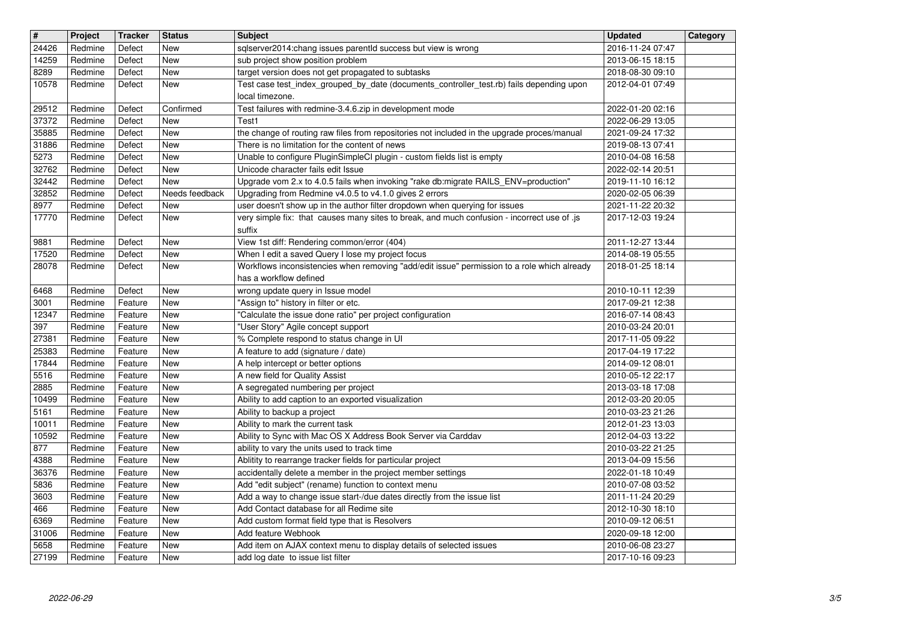| $\overline{\mathbf{r}}$ | Project            | <b>Tracker</b>     | <b>Status</b>            | <b>Subject</b>                                                                                                                        | <b>Updated</b>                       | Category |
|-------------------------|--------------------|--------------------|--------------------------|---------------------------------------------------------------------------------------------------------------------------------------|--------------------------------------|----------|
| 24426                   | Redmine            | Defect             | New                      | sqlserver2014:chang issues parentld success but view is wrong                                                                         | 2016-11-24 07:47                     |          |
| 14259<br>8289           | Redmine<br>Redmine | Defect<br>Defect   | <b>New</b><br><b>New</b> | sub project show position problem<br>target version does not get propagated to subtasks                                               | 2013-06-15 18:15<br>2018-08-30 09:10 |          |
| 10578                   | Redmine            | Defect             | New                      | Test case test_index_grouped_by_date (documents_controller_test.rb) fails depending upon                                              | 2012-04-01 07:49                     |          |
|                         |                    |                    |                          | local timezone.                                                                                                                       |                                      |          |
| 29512<br>37372          | Redmine<br>Redmine | Defect<br>Defect   | Confirmed<br><b>New</b>  | Test failures with redmine-3.4.6.zip in development mode<br>Test1                                                                     | 2022-01-20 02:16<br>2022-06-29 13:05 |          |
| 35885                   | Redmine            | Defect             | <b>New</b>               | the change of routing raw files from repositories not included in the upgrade proces/manual                                           | 2021-09-24 17:32                     |          |
| 31886                   | Redmine            | Defect             | <b>New</b>               | There is no limitation for the content of news                                                                                        | 2019-08-13 07:41                     |          |
| 5273<br>32762           | Redmine<br>Redmine | Defect<br>Defect   | <b>New</b><br><b>New</b> | Unable to configure PluginSimpleCI plugin - custom fields list is empty<br>Unicode character fails edit Issue                         | 2010-04-08 16:58<br>2022-02-14 20:51 |          |
| 32442                   | Redmine            | Defect             | New                      | Upgrade vom 2.x to 4.0.5 fails when invoking "rake db:migrate RAILS_ENV=production"                                                   | 2019-11-10 16:12                     |          |
| 32852<br>8977           | Redmine<br>Redmine | Defect<br>Defect   | Needs feedback<br>New    | Upgrading from Redmine v4.0.5 to v4.1.0 gives 2 errors<br>user doesn't show up in the author filter dropdown when querying for issues | 2020-02-05 06:39<br>2021-11-22 20:32 |          |
| 17770                   | Redmine            | Defect             | New                      | very simple fix: that causes many sites to break, and much confusion - incorrect use of .js                                           | 2017-12-03 19:24                     |          |
| 9881                    | Redmine            | Defect             | New                      | suffix<br>View 1st diff: Rendering common/error (404)                                                                                 | 2011-12-27 13:44                     |          |
| 17520                   | Redmine            | Defect             | New                      | When I edit a saved Query I lose my project focus                                                                                     | 2014-08-19 05:55                     |          |
| 28078                   | Redmine            | Defect             | New                      | Workflows inconsistencies when removing "add/edit issue" permission to a role which already                                           | 2018-01-25 18:14                     |          |
| 6468                    | Redmine            | Defect             | <b>New</b>               | has a workflow defined<br>wrong update query in Issue model                                                                           | 2010-10-11 12:39                     |          |
| 3001                    | Redmine            | Feature            | <b>New</b>               | "Assign to" history in filter or etc.                                                                                                 | 2017-09-21 12:38                     |          |
| 12347<br>397            | Redmine<br>Redmine | Feature<br>Feature | <b>New</b><br><b>New</b> | "Calculate the issue done ratio" per project configuration<br>"User Story" Agile concept support                                      | 2016-07-14 08:43<br>2010-03-24 20:01 |          |
| 27381                   | Redmine            | Feature            | <b>New</b>               | % Complete respond to status change in UI                                                                                             | 2017-11-05 09:22                     |          |
| 25383                   | Redmine            | Feature            | New                      | A feature to add (signature / date)                                                                                                   | 2017-04-19 17:22                     |          |
| 17844<br>5516           | Redmine<br>Redmine | Feature<br>Feature | New<br>New               | A help intercept or better options<br>A new field for Quality Assist                                                                  | 2014-09-12 08:01<br>2010-05-12 22:17 |          |
| 2885                    | Redmine            | Feature            | <b>New</b>               | A segregated numbering per project                                                                                                    | 2013-03-18 17:08                     |          |
| 10499                   | Redmine            | Feature            | <b>New</b>               | Ability to add caption to an exported visualization                                                                                   | 2012-03-20 20:05                     |          |
| 5161<br>10011           | Redmine<br>Redmine | Feature<br>Feature | <b>New</b><br><b>New</b> | Ability to backup a project<br>Ability to mark the current task                                                                       | 2010-03-23 21:26<br>2012-01-23 13:03 |          |
| 10592                   | Redmine            | Feature            | <b>New</b>               | Ability to Sync with Mac OS X Address Book Server via Carddav                                                                         | 2012-04-03 13:22                     |          |
| 877<br>4388             | Redmine<br>Redmine | Feature<br>Feature | New<br>New               | ability to vary the units used to track time<br>Ablitity to rearrange tracker fields for particular project                           | 2010-03-22 21:25<br>2013-04-09 15:56 |          |
| 36376                   | Redmine            | Feature            | New                      | accidentally delete a member in the project member settings                                                                           | 2022-01-18 10:49                     |          |
| 5836                    | Redmine            | Feature            | <b>New</b>               | Add "edit subject" (rename) function to context menu                                                                                  | 2010-07-08 03:52                     |          |
| 3603<br>466             | Redmine<br>Redmine | Feature<br>Feature | New<br>New               | Add a way to change issue start-/due dates directly from the issue list<br>Add Contact database for all Redime site                   | 2011-11-24 20:29<br>2012-10-30 18:10 |          |
| 6369                    | Redmine            | Feature            | New                      | Add custom format field type that is Resolvers                                                                                        | 2010-09-12 06:51                     |          |
| 31006<br>5658           | Redmine<br>Redmine | Feature<br>Feature | New<br>New               | Add feature Webhook<br>Add item on AJAX context menu to display details of selected issues                                            | 2020-09-18 12:00<br>2010-06-08 23:27 |          |
| 27199                   | Redmine            | Feature            | New                      | add log date to issue list filter                                                                                                     | 2017-10-16 09:23                     |          |
|                         |                    |                    |                          |                                                                                                                                       |                                      |          |
|                         |                    |                    |                          |                                                                                                                                       |                                      |          |
|                         |                    |                    |                          |                                                                                                                                       |                                      |          |
|                         |                    |                    |                          |                                                                                                                                       |                                      |          |
|                         |                    |                    |                          |                                                                                                                                       |                                      |          |
|                         |                    |                    |                          |                                                                                                                                       |                                      |          |
|                         |                    |                    |                          |                                                                                                                                       |                                      |          |
|                         |                    |                    |                          |                                                                                                                                       |                                      |          |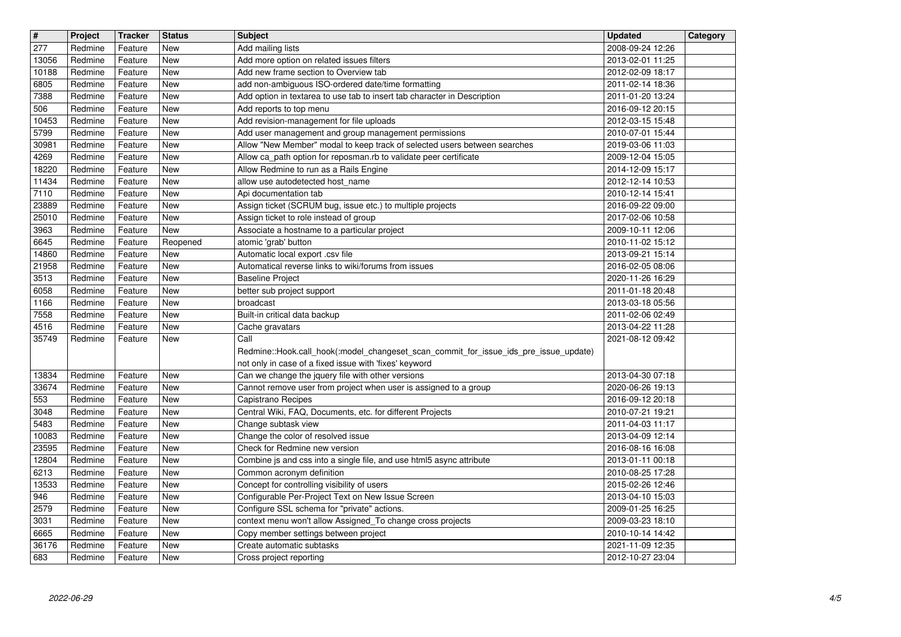| #              | Project            | <b>Tracker</b>     | <b>Status</b>     | <b>Subject</b>                                                                                    | <b>Updated</b>                       | Category |
|----------------|--------------------|--------------------|-------------------|---------------------------------------------------------------------------------------------------|--------------------------------------|----------|
| 277            | Redmine            | Feature            | <b>New</b>        | Add mailing lists                                                                                 | 2008-09-24 12:26                     |          |
| 13056<br>10188 | Redmine<br>Redmine | Feature<br>Feature | New<br>New        | Add more option on related issues filters<br>Add new frame section to Overview tab                | 2013-02-01 11:25<br>2012-02-09 18:17 |          |
| 6805           | Redmine            | Feature            | New               | add non-ambiguous ISO-ordered date/time formatting                                                | 2011-02-14 18:36                     |          |
| 7388           | Redmine            | Feature            | <b>New</b>        | Add option in textarea to use tab to insert tab character in Description                          | 2011-01-20 13:24                     |          |
| 506            | Redmine            | Feature            | <b>New</b>        | Add reports to top menu                                                                           | 2016-09-12 20:15                     |          |
| 10453<br>5799  | Redmine<br>Redmine | Feature<br>Feature | New<br>New        | Add revision-management for file uploads<br>Add user management and group management permissions  | 2012-03-15 15:48<br>2010-07-01 15:44 |          |
| 30981          | Redmine            | Feature            | <b>New</b>        | Allow "New Member" modal to keep track of selected users between searches                         | 2019-03-06 11:03                     |          |
| 4269           | Redmine            | Feature            | <b>New</b>        | Allow ca_path option for reposman.rb to validate peer certificate                                 | 2009-12-04 15:05                     |          |
| 18220          | Redmine            | Feature            | <b>New</b>        | Allow Redmine to run as a Rails Engine                                                            | 2014-12-09 15:17                     |          |
| 11434          | Redmine            | Feature            | New               | allow use autodetected host_name                                                                  | 2012-12-14 10:53                     |          |
| 7110<br>23889  | Redmine<br>Redmine | Feature<br>Feature | <b>New</b><br>New | Api documentation tab<br>Assign ticket (SCRUM bug, issue etc.) to multiple projects               | 2010-12-14 15:41<br>2016-09-22 09:00 |          |
| 25010          | Redmine            | Feature            | New               | Assign ticket to role instead of group                                                            | 2017-02-06 10:58                     |          |
| 3963           | Redmine            | Feature            | New               | Associate a hostname to a particular project                                                      | 2009-10-11 12:06                     |          |
| 6645           | Redmine            | Feature            | Reopened          | atomic 'grab' button                                                                              | 2010-11-02 15:12                     |          |
| 14860          | Redmine            | Feature            | New               | Automatic local export .csv file<br>Automatical reverse links to wiki/forums from issues          | 2013-09-21 15:14                     |          |
| 21958<br>3513  | Redmine<br>Redmine | Feature<br>Feature | New<br>New        | <b>Baseline Project</b>                                                                           | 2016-02-05 08:06<br>2020-11-26 16:29 |          |
| 6058           | Redmine            | Feature            | New               | better sub project support                                                                        | 2011-01-18 20:48                     |          |
| 1166           | Redmine            | Feature            | <b>New</b>        | broadcast                                                                                         | 2013-03-18 05:56                     |          |
| 7558           | Redmine            | Feature            | New               | Built-in critical data backup                                                                     | 2011-02-06 02:49                     |          |
| 4516<br>35749  | Redmine<br>Redmine | Feature<br>Feature | New<br>New        | Cache gravatars<br>Call                                                                           | 2013-04-22 11:28<br>2021-08-12 09:42 |          |
|                |                    |                    |                   | Redmine::Hook.call_hook(:model_changeset_scan_commit_for_issue_ids_pre_issue_update)              |                                      |          |
|                |                    |                    |                   | not only in case of a fixed issue with 'fixes' keyword                                            |                                      |          |
| 13834          | Redmine            | Feature            | New               | Can we change the jquery file with other versions                                                 | 2013-04-30 07:18                     |          |
| 33674<br>553   | Redmine            | Feature            | <b>New</b><br>New | Cannot remove user from project when user is assigned to a group                                  | 2020-06-26 19:13                     |          |
| 3048           | Redmine<br>Redmine | Feature<br>Feature | <b>New</b>        | Capistrano Recipes<br>Central Wiki, FAQ, Documents, etc. for different Projects                   | 2016-09-12 20:18<br>2010-07-21 19:21 |          |
| 5483           | Redmine            | Feature            | New               | Change subtask view                                                                               | 2011-04-03 11:17                     |          |
| 10083          | Redmine            | Feature            | <b>New</b>        | Change the color of resolved issue                                                                | 2013-04-09 12:14                     |          |
| 23595          | Redmine            | Feature            | New               | Check for Redmine new version                                                                     | 2016-08-16 16:08                     |          |
| 12804<br>6213  | Redmine<br>Redmine | Feature<br>Feature | New<br>New        | Combine js and css into a single file, and use html5 async attribute<br>Common acronym definition | 2013-01-11 00:18<br>2010-08-25 17:28 |          |
| 13533          | Redmine            | Feature            | New               | Concept for controlling visibility of users                                                       | 2015-02-26 12:46                     |          |
| 946            | Redmine            | Feature            | <b>New</b>        | Configurable Per-Project Text on New Issue Screen                                                 | 2013-04-10 15:03                     |          |
| 2579           | Redmine            | Feature            | New               | Configure SSL schema for "private" actions.                                                       | 2009-01-25 16:25                     |          |
| 3031           | Redmine            | Feature            | <b>New</b>        | context menu won't allow Assigned_To change cross projects                                        | 2009-03-23 18:10                     |          |
| 6665<br>36176  | Redmine<br>Redmine | Feature<br>Feature | New<br>New        | Copy member settings between project<br>Create automatic subtasks                                 | 2010-10-14 14:42<br>2021-11-09 12:35 |          |
| 683            | Redmine            | Feature            | New               | Cross project reporting                                                                           | 2012-10-27 23:04                     |          |
|                |                    |                    |                   |                                                                                                   |                                      |          |
|                |                    |                    |                   |                                                                                                   |                                      |          |
|                |                    |                    |                   |                                                                                                   |                                      |          |
|                |                    |                    |                   |                                                                                                   |                                      |          |
|                |                    |                    |                   |                                                                                                   |                                      |          |
|                |                    |                    |                   |                                                                                                   |                                      |          |
|                |                    |                    |                   |                                                                                                   |                                      |          |
|                |                    |                    |                   |                                                                                                   |                                      |          |